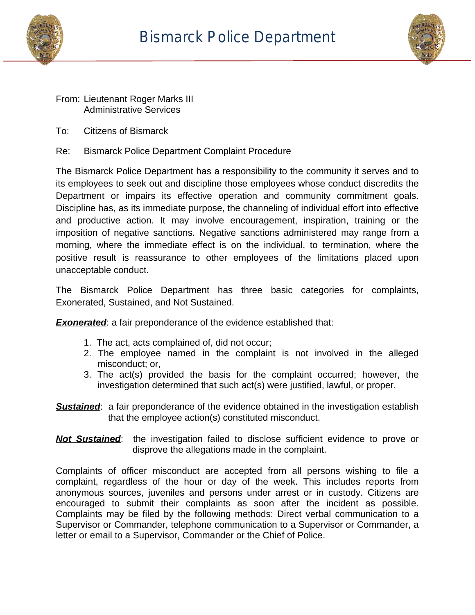



## From: Lieutenant Roger Marks III Administrative Services

- To: Citizens of Bismarck
- Re: Bismarck Police Department Complaint Procedure

The Bismarck Police Department has a responsibility to the community it serves and to its employees to seek out and discipline those employees whose conduct discredits the Department or impairs its effective operation and community commitment goals. Discipline has, as its immediate purpose, the channeling of individual effort into effective and productive action. It may involve encouragement, inspiration, training or the imposition of negative sanctions. Negative sanctions administered may range from a morning, where the immediate effect is on the individual, to termination, where the positive result is reassurance to other employees of the limitations placed upon unacceptable conduct.

The Bismarck Police Department has three basic categories for complaints, Exonerated, Sustained, and Not Sustained.

**Exonerated:** a fair preponderance of the evidence established that:

- 1. The act, acts complained of, did not occur;
- 2. The employee named in the complaint is not involved in the alleged misconduct; or,
- 3. The act(s) provided the basis for the complaint occurred; however, the investigation determined that such act(s) were justified, lawful, or proper.
- **Sustained:** a fair preponderance of the evidence obtained in the investigation establish that the employee action(s) constituted misconduct.
- *Not Sustained*: the investigation failed to disclose sufficient evidence to prove or disprove the allegations made in the complaint.

Complaints of officer misconduct are accepted from all persons wishing to file a complaint, regardless of the hour or day of the week. This includes reports from anonymous sources, juveniles and persons under arrest or in custody. Citizens are encouraged to submit their complaints as soon after the incident as possible. Complaints may be filed by the following methods: Direct verbal communication to a Supervisor or Commander, telephone communication to a Supervisor or Commander, a letter or email to a Supervisor, Commander or the Chief of Police.